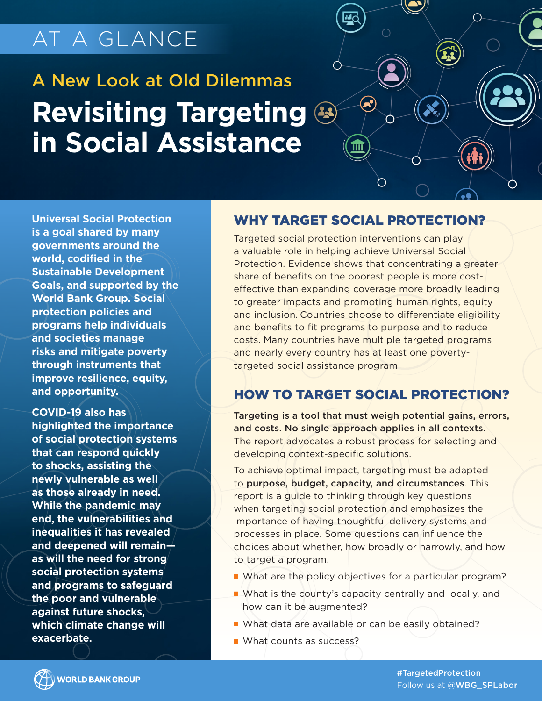## AT A GLANCE

# A New Look at Old Dilemmas **Revisiting Targeting in Social Assistance**



**Universal Social Protection is a goal shared by many governments around the world, codified in the Sustainable Development Goals, and supported by the World Bank Group. Social protection policies and programs help individuals and societies manage risks and mitigate poverty through instruments that improve resilience, equity, and opportunity.** 

**COVID-19 also has highlighted the importance of social protection systems that can respond quickly to shocks, assisting the newly vulnerable as well as those already in need. While the pandemic may end, the vulnerabilities and inequalities it has revealed and deepened will remain as will the need for strong social protection systems and programs to safeguard the poor and vulnerable against future shocks, which climate change will exacerbate.**

#### WHY TARGET SOCIAL PROTECTION?

Targeted social protection interventions can play a valuable role in helping achieve Universal Social Protection. Evidence shows that concentrating a greater share of benefits on the poorest people is more costeffective than expanding coverage more broadly leading to greater impacts and promoting human rights, equity and inclusion. Countries choose to differentiate eligibility and benefits to fit programs to purpose and to reduce costs. Many countries have multiple targeted programs and nearly every country has at least one povertytargeted social assistance program.

#### HOW TO TARGET SOCIAL PROTECTION?

Targeting is a tool that must weigh potential gains, errors, and costs. No single approach applies in all contexts. The report advocates a robust process for selecting and developing context-specific solutions.

To achieve optimal impact, targeting must be adapted to purpose, budget, capacity, and circumstances. This report is a guide to thinking through key questions when targeting social protection and emphasizes the importance of having thoughtful delivery systems and processes in place. Some questions can influence the choices about whether, how broadly or narrowly, and how to target a program.

- What are the policy objectives for a particular program?
- What is the county's capacity centrally and locally, and how can it be augmented?
- What data are available or can be easily obtained?
- What counts as success?